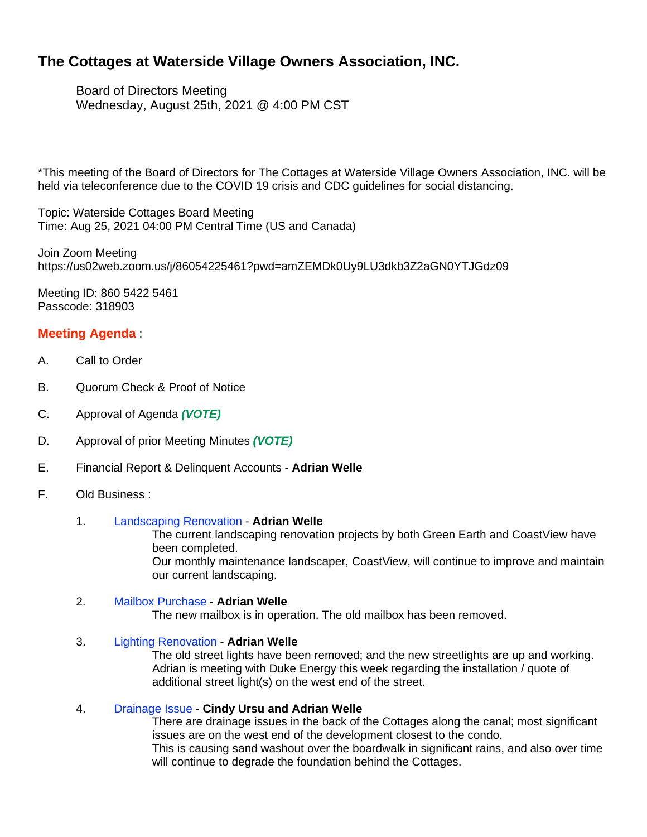# **The Cottages at Waterside Village Owners Association, INC.**

Board of Directors Meeting Wednesday, August 25th, 2021 @ 4:00 PM CST

\*This meeting of the Board of Directors for The Cottages at Waterside Village Owners Association, INC. will be held via teleconference due to the COVID 19 crisis and CDC guidelines for social distancing.

Topic: Waterside Cottages Board Meeting Time: Aug 25, 2021 04:00 PM Central Time (US and Canada)

Join Zoom Meeting https://us02web.zoom.us/j/86054225461?pwd=amZEMDk0Uy9LU3dkb3Z2aGN0YTJGdz09

Meeting ID: 860 5422 5461 Passcode: 318903

# **Meeting Agenda** :

- A. Call to Order
- B. Quorum Check & Proof of Notice
- C. Approval of Agenda *(VOTE)*
- D. Approval of prior Meeting Minutes *(VOTE)*
- E. Financial Report & Delinquent Accounts **Adrian Welle**
- F. Old Business :

### 1. Landscaping Renovation - **Adrian Welle**

The current landscaping renovation projects by both Green Earth and CoastView have been completed.

Our monthly maintenance landscaper, CoastView, will continue to improve and maintain our current landscaping.

### 2. Mailbox Purchase - **Adrian Welle**

The new mailbox is in operation. The old mailbox has been removed.

### 3. Lighting Renovation - **Adrian Welle**

The old street lights have been removed; and the new streetlights are up and working. Adrian is meeting with Duke Energy this week regarding the installation / quote of additional street light(s) on the west end of the street.

### 4. Drainage Issue - **Cindy Ursu and Adrian Welle**

There are drainage issues in the back of the Cottages along the canal; most significant issues are on the west end of the development closest to the condo. This is causing sand washout over the boardwalk in significant rains, and also over time will continue to degrade the foundation behind the Cottages.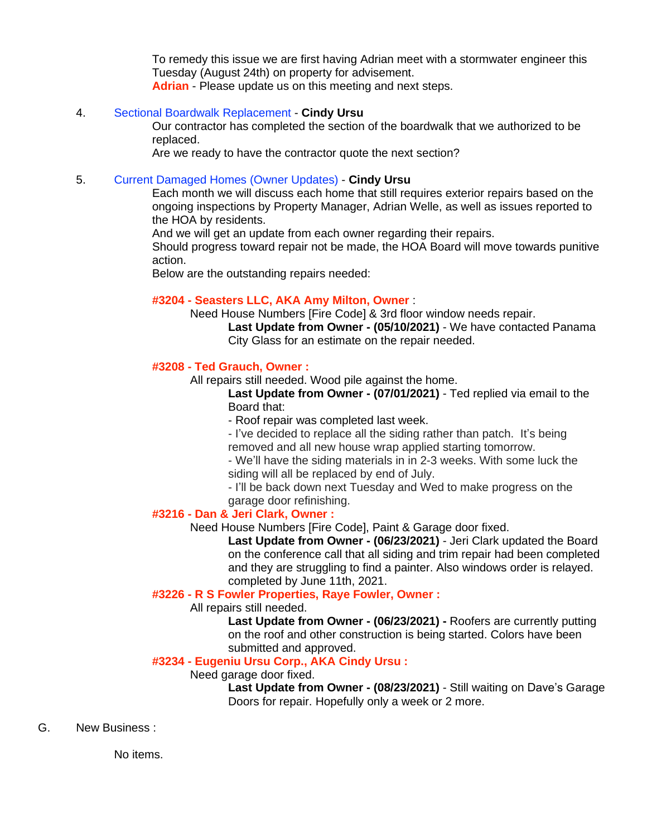To remedy this issue we are first having Adrian meet with a stormwater engineer this Tuesday (August 24th) on property for advisement. **Adrian** - Please update us on this meeting and next steps.

# 4. Sectional Boardwalk Replacement - **Cindy Ursu**

Our contractor has completed the section of the boardwalk that we authorized to be replaced.

Are we ready to have the contractor quote the next section?

# 5. Current Damaged Homes (Owner Updates) - **Cindy Ursu**

Each month we will discuss each home that still requires exterior repairs based on the ongoing inspections by Property Manager, Adrian Welle, as well as issues reported to the HOA by residents.

And we will get an update from each owner regarding their repairs.

Should progress toward repair not be made, the HOA Board will move towards punitive action.

Below are the outstanding repairs needed:

# **#3204 - Seasters LLC, AKA Amy Milton, Owner** :

Need House Numbers [Fire Code] & 3rd floor window needs repair.

**Last Update from Owner - (05/10/2021)** - We have contacted Panama City Glass for an estimate on the repair needed.

# **#3208 - Ted Grauch, Owner :**

All repairs still needed. Wood pile against the home.

**Last Update from Owner - (07/01/2021)** - Ted replied via email to the Board that:

- Roof repair was completed last week.

- I've decided to replace all the siding rather than patch. It's being removed and all new house wrap applied starting tomorrow.

- We'll have the siding materials in in 2-3 weeks. With some luck the siding will all be replaced by end of July.

- I'll be back down next Tuesday and Wed to make progress on the garage door refinishing.

### **#3216 - Dan & Jeri Clark, Owner :**

Need House Numbers [Fire Code], Paint & Garage door fixed.

**Last Update from Owner - (06/23/2021)** - Jeri Clark updated the Board on the conference call that all siding and trim repair had been completed and they are struggling to find a painter. Also windows order is relayed. completed by June 11th, 2021.

# **#3226 - R S Fowler Properties, Raye Fowler, Owner :**

### All repairs still needed.

**Last Update from Owner - (06/23/2021) -** Roofers are currently putting on the roof and other construction is being started. Colors have been submitted and approved.

# **#3234 - Eugeniu Ursu Corp., AKA Cindy Ursu :**

Need garage door fixed.

**Last Update from Owner - (08/23/2021)** - Still waiting on Dave's Garage Doors for repair. Hopefully only a week or 2 more.

### G. New Business :

No items.